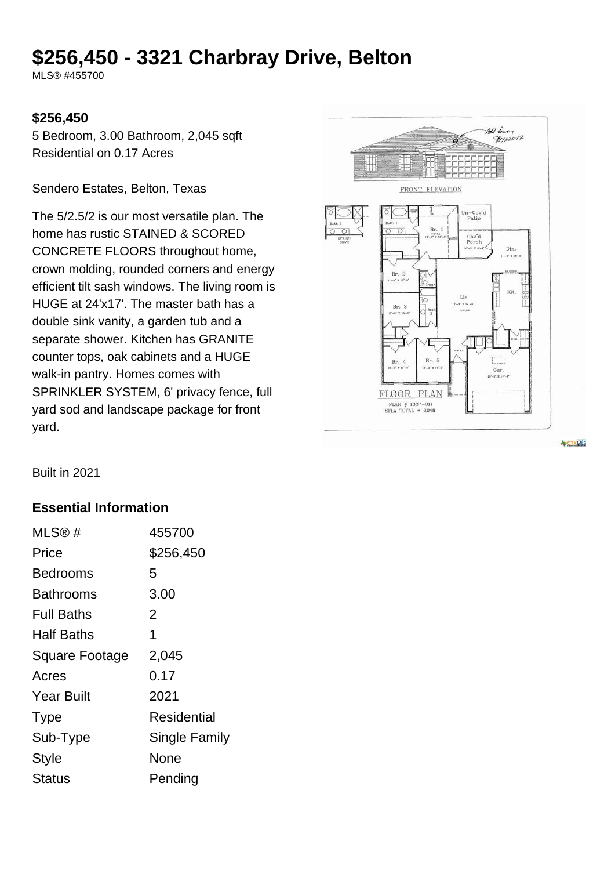# **\$256,450 - 3321 Charbray Drive, Belton**

MLS® #455700

#### **\$256,450**

5 Bedroom, 3.00 Bathroom, 2,045 sqft Residential on 0.17 Acres

Sendero Estates, Belton, Texas

The 5/2.5/2 is our most versatile plan. The home has rustic STAINED & SCORED CONCRETE FLOORS throughout home, crown molding, rounded corners and energy efficient tilt sash windows. The living room is HUGE at 24'x17'. The master bath has a double sink vanity, a garden tub and a separate shower. Kitchen has GRANITE counter tops, oak cabinets and a HUGE walk-in pantry. Homes comes with SPRINKLER SYSTEM, 6' privacy fence, full yard sod and landscape package for front yard.



**ECTXMLS** 

Built in 2021

#### **Essential Information**

| MLS@#                 | 455700        |
|-----------------------|---------------|
| Price                 | \$256,450     |
| <b>Bedrooms</b>       | 5             |
| Bathrooms             | 3.00          |
| <b>Full Baths</b>     | 2             |
| Half Baths            | 1             |
| <b>Square Footage</b> | 2,045         |
| Acres                 | 0.17          |
| <b>Year Built</b>     | 2021          |
| <b>Type</b>           | Residential   |
| Sub-Type              | Single Family |
| <b>Style</b>          | None          |
| Status                | Pending       |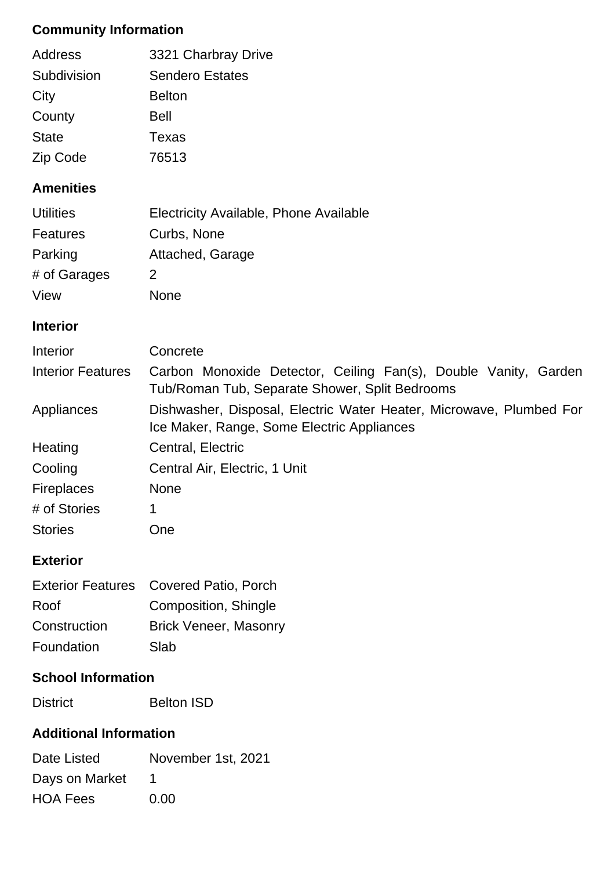# **Community Information**

| Address      | 3321 Charbray Drive    |
|--------------|------------------------|
| Subdivision  | <b>Sendero Estates</b> |
| City         | <b>Belton</b>          |
| County       | Bell                   |
| <b>State</b> | Texas                  |
| Zip Code     | 76513                  |

#### **Amenities**

| <b>Utilities</b> | Electricity Available, Phone Available |
|------------------|----------------------------------------|
| Features         | Curbs, None                            |
| Parking          | Attached, Garage                       |
| # of Garages     | 2                                      |
| View             | None                                   |

## **Interior**

| Interior                 | Concrete                                                                                                          |  |  |
|--------------------------|-------------------------------------------------------------------------------------------------------------------|--|--|
| <b>Interior Features</b> | Carbon Monoxide Detector, Ceiling Fan(s), Double Vanity, Garden<br>Tub/Roman Tub, Separate Shower, Split Bedrooms |  |  |
| Appliances               | Dishwasher, Disposal, Electric Water Heater, Microwave, Plumbed For<br>Ice Maker, Range, Some Electric Appliances |  |  |
| Heating                  | Central, Electric                                                                                                 |  |  |
| Cooling                  | Central Air, Electric, 1 Unit                                                                                     |  |  |
| <b>Fireplaces</b>        | <b>None</b>                                                                                                       |  |  |
| # of Stories             | 1                                                                                                                 |  |  |
| <b>Stories</b>           | <b>One</b>                                                                                                        |  |  |

#### **Exterior**

| Exterior Features Covered Patio, Porch |
|----------------------------------------|
| Composition, Shingle                   |
| <b>Brick Veneer, Masonry</b>           |
| Slab                                   |
|                                        |

# **School Information**

| <b>Belton ISD</b> |
|-------------------|
|                   |

# **Additional Information**

| Date Listed     | November 1st, 2021 |
|-----------------|--------------------|
| Days on Market  |                    |
| <b>HOA Fees</b> | 0.00               |